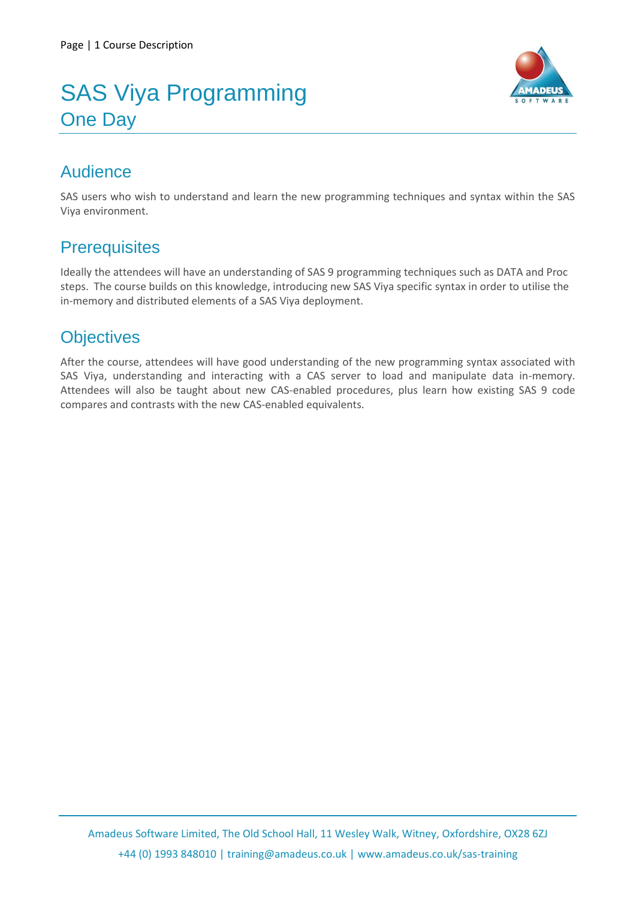# SAS Viya Programming One Day



## Audience

SAS users who wish to understand and learn the new programming techniques and syntax within the SAS Viya environment.

## **Prerequisites**

Ideally the attendees will have an understanding of SAS 9 programming techniques such as DATA and Proc steps. The course builds on this knowledge, introducing new SAS Viya specific syntax in order to utilise the in-memory and distributed elements of a SAS Viya deployment.

# **Objectives**

After the course, attendees will have good understanding of the new programming syntax associated with SAS Viya, understanding and interacting with a CAS server to load and manipulate data in-memory. Attendees will also be taught about new CAS-enabled procedures, plus learn how existing SAS 9 code compares and contrasts with the new CAS-enabled equivalents.